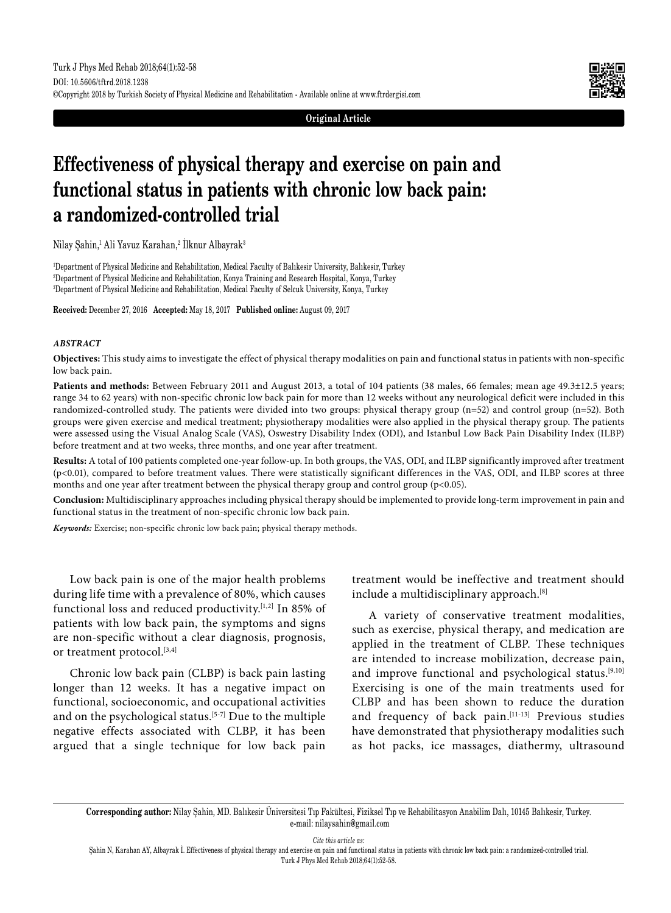**Original Article**

# **Effectiveness of physical therapy and exercise on pain and functional status in patients with chronic low back pain: a randomized-controlled trial**

Nilay Şahin,<sup>1</sup> Ali Yavuz Karahan,<sup>2</sup> Ilknur Albayrak<sup>3</sup>

1 Department of Physical Medicine and Rehabilitation, Medical Faculty of Balıkesir University, Balıkesir, Turkey 2 Department of Physical Medicine and Rehabilitation, Konya Training and Research Hospital, Konya, Turkey 3 Department of Physical Medicine and Rehabilitation, Medical Faculty of Selcuk University, Konya, Turkey

**Received:** December 27, 2016 **Accepted:** May 18, 2017 **Published online:** August 09, 2017

## *ABSTRACT*

**Objectives:** This study aims to investigate the effect of physical therapy modalities on pain and functional status in patients with non-specific low back pain.

**Patients and methods:** Between February 2011 and August 2013, a total of 104 patients (38 males, 66 females; mean age 49.3±12.5 years; range 34 to 62 years) with non-specific chronic low back pain for more than 12 weeks without any neurological deficit were included in this randomized-controlled study. The patients were divided into two groups: physical therapy group (n=52) and control group (n=52). Both groups were given exercise and medical treatment; physiotherapy modalities were also applied in the physical therapy group. The patients were assessed using the Visual Analog Scale (VAS), Oswestry Disability Index (ODI), and Istanbul Low Back Pain Disability Index (ILBP) before treatment and at two weeks, three months, and one year after treatment.

**Results:** A total of 100 patients completed one-year follow-up. In both groups, the VAS, ODI, and ILBP significantly improved after treatment (p<0.01), compared to before treatment values. There were statistically significant differences in the VAS, ODI, and ILBP scores at three months and one year after treatment between the physical therapy group and control group (p<0.05).

**Conclusion:** Multidisciplinary approaches including physical therapy should be implemented to provide long-term improvement in pain and functional status in the treatment of non-specific chronic low back pain.

*Keywords:* Exercise; non-specific chronic low back pain; physical therapy methods.

Low back pain is one of the major health problems during life time with a prevalence of 80%, which causes functional loss and reduced productivity.[1,2] In 85% of patients with low back pain, the symptoms and signs are non-specific without a clear diagnosis, prognosis, or treatment protocol.<sup>[3,4]</sup>

Chronic low back pain (CLBP) is back pain lasting longer than 12 weeks. It has a negative impact on functional, socioeconomic, and occupational activities and on the psychological status.<sup>[5-7]</sup> Due to the multiple negative effects associated with CLBP, it has been argued that a single technique for low back pain treatment would be ineffective and treatment should include a multidisciplinary approach.<sup>[8]</sup>

A variety of conservative treatment modalities, such as exercise, physical therapy, and medication are applied in the treatment of CLBP. These techniques are intended to increase mobilization, decrease pain, and improve functional and psychological status.[9,10] Exercising is one of the main treatments used for CLBP and has been shown to reduce the duration and frequency of back pain.[11-13] Previous studies have demonstrated that physiotherapy modalities such as hot packs, ice massages, diathermy, ultrasound

**Corresponding author:** Nilay Şahin, MD. Balıkesir Üniversitesi Tıp Fakültesi, Fiziksel Tıp ve Rehabilitasyon Anabilim Dalı, 10145 Balıkesir, Turkey. e-mail: nilaysahin@gmail.com

*Cite this article as:*

Şahin N, Karahan AY, Albayrak İ. Effectiveness of physical therapy and exercise on pain and functional status in patients with chronic low back pain: a randomized-controlled trial. Turk J Phys Med Rehab 2018;64(1):52-58.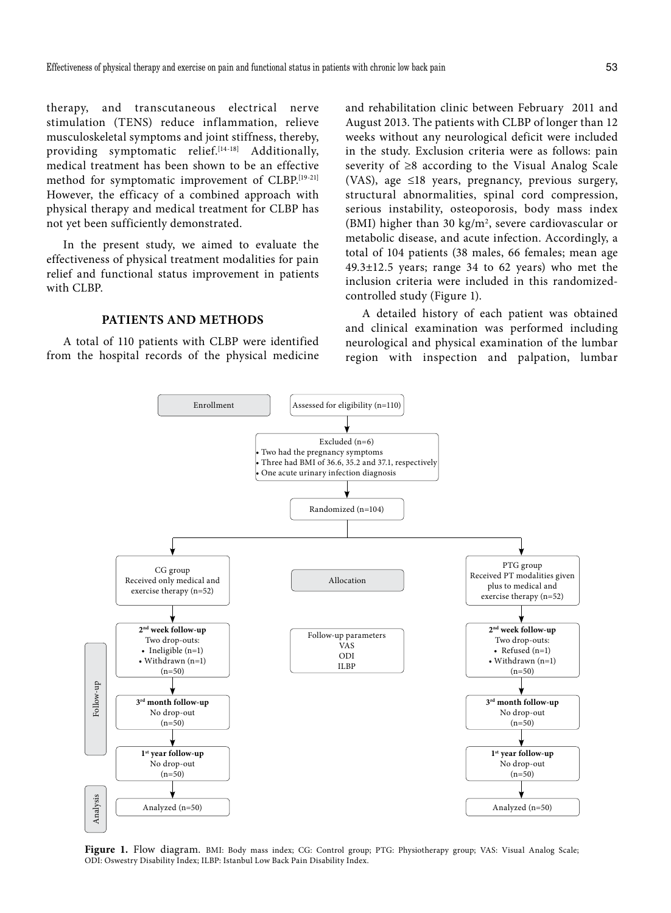therapy, and transcutaneous electrical nerve stimulation (TENS) reduce inflammation, relieve musculoskeletal symptoms and joint stiffness, thereby, providing symptomatic relief.<sup>[14-18]</sup> Additionally, medical treatment has been shown to be an effective method for symptomatic improvement of CLBP.[19-21] However, the efficacy of a combined approach with physical therapy and medical treatment for CLBP has not yet been sufficiently demonstrated.

In the present study, we aimed to evaluate the effectiveness of physical treatment modalities for pain relief and functional status improvement in patients with CLBP.

# **PATIENTS AND METHODS**

A total of 110 patients with CLBP were identified from the hospital records of the physical medicine and rehabilitation clinic between February 2011 and August 2013. The patients with CLBP of longer than 12 weeks without any neurological deficit were included in the study. Exclusion criteria were as follows: pain severity of ≥8 according to the Visual Analog Scale (VAS), age ≤18 years, pregnancy, previous surgery, structural abnormalities, spinal cord compression, serious instability, osteoporosis, body mass index (BMI) higher than 30  $\text{kg/m}^2$ , severe cardiovascular or metabolic disease, and acute infection. Accordingly, a total of 104 patients (38 males, 66 females; mean age 49.3±12.5 years; range 34 to 62 years) who met the inclusion criteria were included in this randomizedcontrolled study (Figure 1).

A detailed history of each patient was obtained and clinical examination was performed including neurological and physical examination of the lumbar region with inspection and palpation, lumbar



**Figure 1.** Flow diagram. BMI: Body mass index; CG: Control group; PTG: Physiotherapy group; VAS: Visual Analog Scale; ODI: Oswestry Disability Index; ILBP: Istanbul Low Back Pain Disability Index.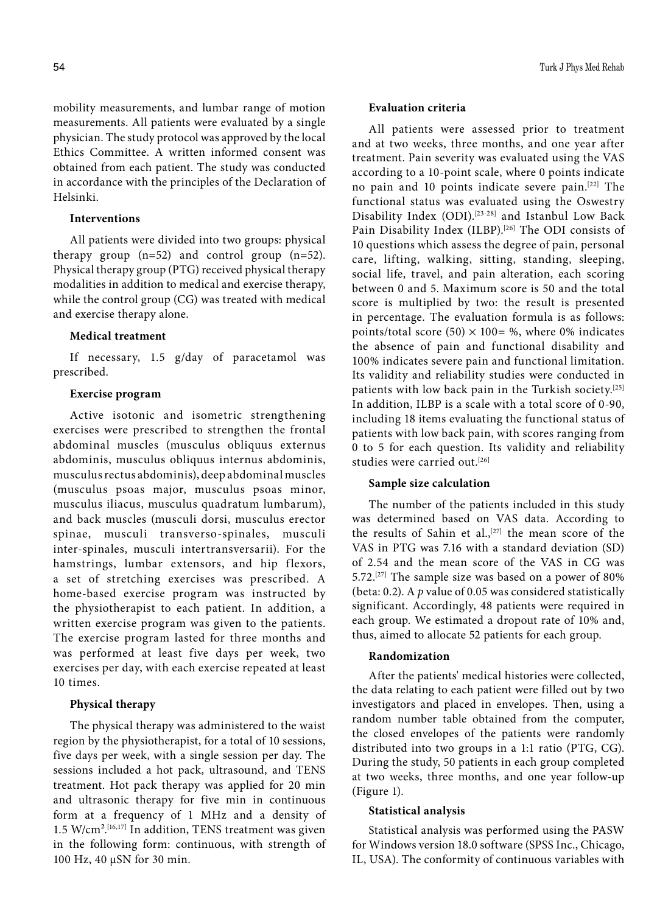mobility measurements, and lumbar range of motion measurements. All patients were evaluated by a single physician. The study protocol was approved by the local Ethics Committee. A written informed consent was obtained from each patient. The study was conducted in accordance with the principles of the Declaration of Helsinki.

## **Interventions**

All patients were divided into two groups: physical therapy group (n=52) and control group (n=52). Physical therapy group (PTG) received physical therapy modalities in addition to medical and exercise therapy, while the control group (CG) was treated with medical and exercise therapy alone.

## **Medical treatment**

If necessary, 1.5 g/day of paracetamol was prescribed.

# **Exercise program**

Active isotonic and isometric strengthening exercises were prescribed to strengthen the frontal abdominal muscles (musculus obliquus externus abdominis, musculus obliquus internus abdominis, musculus rectus abdominis), deep abdominal muscles (musculus psoas major, musculus psoas minor, musculus iliacus, musculus quadratum lumbarum), and back muscles (musculi dorsi, musculus erector spinae, musculi transverso-spinales, musculi inter-spinales, musculi intertransversarii). For the hamstrings, lumbar extensors, and hip flexors, a set of stretching exercises was prescribed. A home-based exercise program was instructed by the physiotherapist to each patient. In addition, a written exercise program was given to the patients. The exercise program lasted for three months and was performed at least five days per week, two exercises per day, with each exercise repeated at least 10 times.

## **Physical therapy**

The physical therapy was administered to the waist region by the physiotherapist, for a total of 10 sessions, five days per week, with a single session per day. The sessions included a hot pack, ultrasound, and TENS treatment. Hot pack therapy was applied for 20 min and ultrasonic therapy for five min in continuous form at a frequency of 1 MHz and a density of 1.5 W/cm².[16,17] In addition, TENS treatment was given in the following form: continuous, with strength of 100 Hz, 40 μSN for 30 min.

## **Evaluation criteria**

All patients were assessed prior to treatment and at two weeks, three months, and one year after treatment. Pain severity was evaluated using the VAS according to a 10-point scale, where 0 points indicate no pain and 10 points indicate severe pain.[22] The functional status was evaluated using the Oswestry Disability Index (ODI).<sup>[23-28]</sup> and Istanbul Low Back Pain Disability Index (ILBP).<sup>[26]</sup> The ODI consists of 10 questions which assess the degree of pain, personal care, lifting, walking, sitting, standing, sleeping, social life, travel, and pain alteration, each scoring between 0 and 5. Maximum score is 50 and the total score is multiplied by two: the result is presented in percentage. The evaluation formula is as follows: points/total score (50)  $\times$  100= %, where 0% indicates the absence of pain and functional disability and 100% indicates severe pain and functional limitation. Its validity and reliability studies were conducted in patients with low back pain in the Turkish society.<sup>[25]</sup> In addition, ILBP is a scale with a total score of 0-90, including 18 items evaluating the functional status of patients with low back pain, with scores ranging from 0 to 5 for each question. Its validity and reliability studies were carried out.<sup>[26]</sup>

#### **Sample size calculation**

The number of the patients included in this study was determined based on VAS data. According to the results of Sahin et al.,<sup>[27]</sup> the mean score of the VAS in PTG was 7.16 with a standard deviation (SD) of 2.54 and the mean score of the VAS in CG was 5.72.[27] The sample size was based on a power of 80% (beta: 0.2). A *p* value of 0.05 was considered statistically significant. Accordingly, 48 patients were required in each group. We estimated a dropout rate of 10% and, thus, aimed to allocate 52 patients for each group.

## **Randomization**

After the patients' medical histories were collected, the data relating to each patient were filled out by two investigators and placed in envelopes. Then, using a random number table obtained from the computer, the closed envelopes of the patients were randomly distributed into two groups in a 1:1 ratio (PTG, CG). During the study, 50 patients in each group completed at two weeks, three months, and one year follow-up (Figure 1).

## **Statistical analysis**

Statistical analysis was performed using the PASW for Windows version 18.0 software (SPSS Inc., Chicago, IL, USA). The conformity of continuous variables with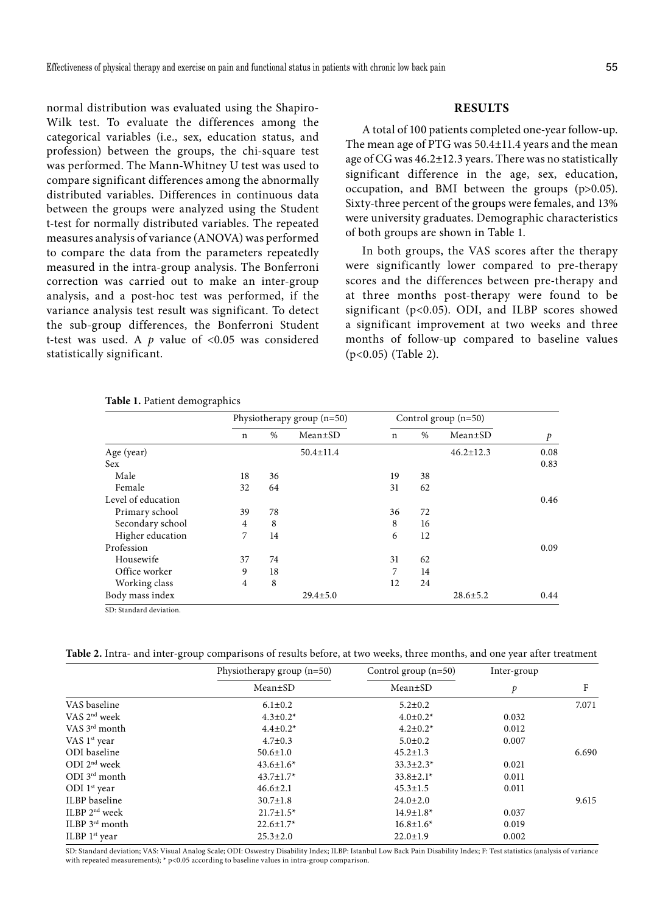normal distribution was evaluated using the Shapiro-Wilk test. To evaluate the differences among the categorical variables (i.e., sex, education status, and profession) between the groups, the chi-square test was performed. The Mann-Whitney U test was used to compare significant differences among the abnormally distributed variables. Differences in continuous data between the groups were analyzed using the Student t-test for normally distributed variables. The repeated measures analysis of variance (ANOVA) was performed to compare the data from the parameters repeatedly measured in the intra-group analysis. The Bonferroni correction was carried out to make an inter-group analysis, and a post-hoc test was performed, if the variance analysis test result was significant. To detect the sub-group differences, the Bonferroni Student t-test was used. A *p* value of <0.05 was considered statistically significant.

# **RESULTS**

A total of 100 patients completed one-year follow-up. The mean age of PTG was 50.4±11.4 years and the mean age of CG was 46.2±12.3 years. There was no statistically significant difference in the age, sex, education, occupation, and BMI between the groups (p>0.05). Sixty-three percent of the groups were females, and 13% were university graduates. Demographic characteristics of both groups are shown in Table 1.

In both groups, the VAS scores after the therapy were significantly lower compared to pre-therapy scores and the differences between pre-therapy and at three months post-therapy were found to be significant (p<0.05). ODI, and ILBP scores showed a significant improvement at two weeks and three months of follow-up compared to baseline values (p<0.05) (Table 2).

| n  | $\%$ | $Mean \pm SD$   |    |      |                 |      |
|----|------|-----------------|----|------|-----------------|------|
|    |      |                 | n  | $\%$ | $Mean \pm SD$   | p    |
|    |      | $50.4 \pm 11.4$ |    |      | $46.2 \pm 12.3$ | 0.08 |
|    |      |                 |    |      |                 | 0.83 |
| 18 | 36   |                 | 19 | 38   |                 |      |
| 32 | 64   |                 | 31 | 62   |                 |      |
|    |      |                 |    |      |                 | 0.46 |
| 39 | 78   |                 | 36 | 72   |                 |      |
| 4  | 8    |                 | 8  | 16   |                 |      |
| 7  | 14   |                 | 6  | 12   |                 |      |
|    |      |                 |    |      |                 | 0.09 |
| 37 | 74   |                 | 31 | 62   |                 |      |
| 9  | 18   |                 | 7  | 14   |                 |      |
| 4  | 8    |                 | 12 | 24   |                 |      |
|    |      | $29.4 \pm 5.0$  |    |      | $28.6 \pm 5.2$  | 0.44 |
|    |      |                 |    |      |                 |      |

**Table 1.** Patient demographics

**Table 2.** Intra- and inter-group comparisons of results before, at two weeks, three months, and one year after treatment

|                        | Physiotherapy group $(n=50)$ | Control group $(n=50)$ | Inter-group   | F     |
|------------------------|------------------------------|------------------------|---------------|-------|
|                        | $Mean \pm SD$                | $Mean \pm SD$          | $\mathcal{P}$ |       |
| VAS baseline           | $6.1 \pm 0.2$                | $5.2 \pm 0.2$          |               | 7.071 |
| VAS $2nd$ week         | $4.3 \pm 0.2^*$              | $4.0 \pm 0.2^*$        | 0.032         |       |
| VAS $3^{\rm rd}$ month | $4.4 \pm 0.2^*$              | $4.2 \pm 0.2^*$        | 0.012         |       |
| VAS $1st$ year         | $4.7 \pm 0.3$                | $5.0 \pm 0.2$          | 0.007         |       |
| ODI baseline           | $50.6 \pm 1.0$               | $45.2 \pm 1.3$         |               | 6.690 |
| ODI $2nd$ week         | $43.6 \pm 1.6^*$             | $33.3 \pm 2.3^*$       | 0.021         |       |
| $ODI$ $3^{rd}$ month   | $43.7 \pm 1.7$ *             | $33.8 \pm 2.1^*$       | 0.011         |       |
| ODI $1st$ year         | $46.6 \pm 2.1$               | $45.3 \pm 1.5$         | 0.011         |       |
| ILBP baseline          | $30.7 \pm 1.8$               | $24.0 \pm 2.0$         |               | 9.615 |
| ILBP $2nd$ week        | $21.7 \pm 1.5^*$             | $14.9 \pm 1.8^*$       | 0.037         |       |
| $ILBP$ $3^{rd}$ month  | $22.6 \pm 1.7$ *             | $16.8 \pm 1.6*$        | 0.019         |       |
| ILBP $1st$ year        | $25.3 \pm 2.0$               | $22.0 \pm 1.9$         | 0.002         |       |

SD: Standard deviation; VAS: Visual Analog Scale; ODI: Oswestry Disability Index; ILBP: Istanbul Low Back Pain Disability Index; F: Test statistics (analysis of variance with repeated measurements); \* p<0.05 according to baseline values in intra-group comparison.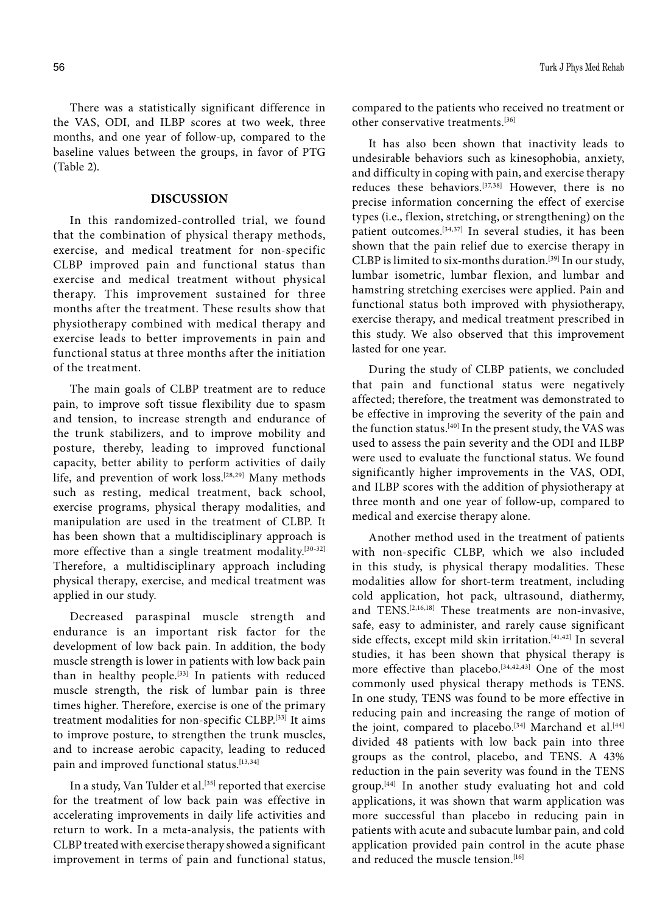There was a statistically significant difference in the VAS, ODI, and ILBP scores at two week, three months, and one year of follow-up, compared to the baseline values between the groups, in favor of PTG (Table 2).

# **DISCUSSION**

In this randomized-controlled trial, we found that the combination of physical therapy methods, exercise, and medical treatment for non-specific CLBP improved pain and functional status than exercise and medical treatment without physical therapy. This improvement sustained for three months after the treatment. These results show that physiotherapy combined with medical therapy and exercise leads to better improvements in pain and functional status at three months after the initiation of the treatment.

The main goals of CLBP treatment are to reduce pain, to improve soft tissue flexibility due to spasm and tension, to increase strength and endurance of the trunk stabilizers, and to improve mobility and posture, thereby, leading to improved functional capacity, better ability to perform activities of daily life, and prevention of work loss.[28,29] Many methods such as resting, medical treatment, back school, exercise programs, physical therapy modalities, and manipulation are used in the treatment of CLBP. It has been shown that a multidisciplinary approach is more effective than a single treatment modality.<sup>[30-32]</sup> Therefore, a multidisciplinary approach including physical therapy, exercise, and medical treatment was applied in our study.

Decreased paraspinal muscle strength and endurance is an important risk factor for the development of low back pain. In addition, the body muscle strength is lower in patients with low back pain than in healthy people.<sup>[33]</sup> In patients with reduced muscle strength, the risk of lumbar pain is three times higher. Therefore, exercise is one of the primary treatment modalities for non-specific CLBP.[33] It aims to improve posture, to strengthen the trunk muscles, and to increase aerobic capacity, leading to reduced pain and improved functional status.[13,34]

In a study, Van Tulder et al.<sup>[35]</sup> reported that exercise for the treatment of low back pain was effective in accelerating improvements in daily life activities and return to work. In a meta-analysis, the patients with CLBP treated with exercise therapy showed a significant improvement in terms of pain and functional status, compared to the patients who received no treatment or other conservative treatments.[36]

It has also been shown that inactivity leads to undesirable behaviors such as kinesophobia, anxiety, and difficulty in coping with pain, and exercise therapy reduces these behaviors.<sup>[37,38]</sup> However, there is no precise information concerning the effect of exercise types (i.e., flexion, stretching, or strengthening) on the patient outcomes.[34,37] In several studies, it has been shown that the pain relief due to exercise therapy in CLBP is limited to six-months duration.<sup>[39]</sup> In our study, lumbar isometric, lumbar flexion, and lumbar and hamstring stretching exercises were applied. Pain and functional status both improved with physiotherapy, exercise therapy, and medical treatment prescribed in this study. We also observed that this improvement lasted for one year.

During the study of CLBP patients, we concluded that pain and functional status were negatively affected; therefore, the treatment was demonstrated to be effective in improving the severity of the pain and the function status.[40] In the present study, the VAS was used to assess the pain severity and the ODI and ILBP were used to evaluate the functional status. We found significantly higher improvements in the VAS, ODI, and ILBP scores with the addition of physiotherapy at three month and one year of follow-up, compared to medical and exercise therapy alone.

Another method used in the treatment of patients with non-specific CLBP, which we also included in this study, is physical therapy modalities. These modalities allow for short-term treatment, including cold application, hot pack, ultrasound, diathermy, and TENS.[2,16,18] These treatments are non-invasive, safe, easy to administer, and rarely cause significant side effects, except mild skin irritation.<sup>[41,42]</sup> In several studies, it has been shown that physical therapy is more effective than placebo.<sup>[34,42,43]</sup> One of the most commonly used physical therapy methods is TENS. In one study, TENS was found to be more effective in reducing pain and increasing the range of motion of the joint, compared to placebo.<sup>[34]</sup> Marchand et al.<sup>[44]</sup> divided 48 patients with low back pain into three groups as the control, placebo, and TENS. A 43% reduction in the pain severity was found in the TENS group.[44] In another study evaluating hot and cold applications, it was shown that warm application was more successful than placebo in reducing pain in patients with acute and subacute lumbar pain, and cold application provided pain control in the acute phase and reduced the muscle tension.<sup>[16]</sup>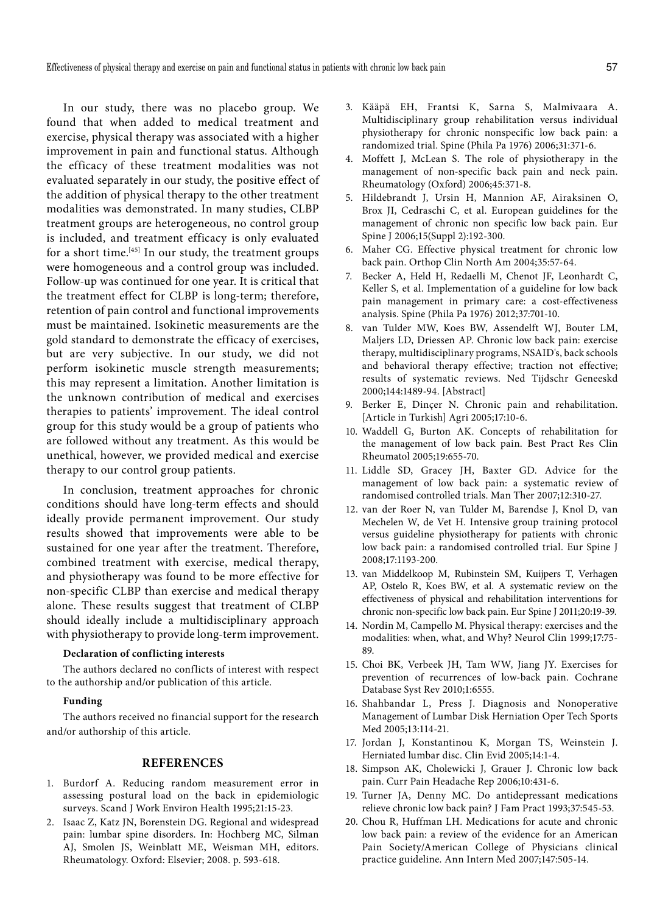In our study, there was no placebo group. We found that when added to medical treatment and exercise, physical therapy was associated with a higher improvement in pain and functional status. Although the efficacy of these treatment modalities was not evaluated separately in our study, the positive effect of the addition of physical therapy to the other treatment modalities was demonstrated. In many studies, CLBP treatment groups are heterogeneous, no control group is included, and treatment efficacy is only evaluated for a short time. $[45]$  In our study, the treatment groups were homogeneous and a control group was included. Follow-up was continued for one year. It is critical that the treatment effect for CLBP is long-term; therefore, retention of pain control and functional improvements must be maintained. Isokinetic measurements are the gold standard to demonstrate the efficacy of exercises, but are very subjective. In our study, we did not perform isokinetic muscle strength measurements; this may represent a limitation. Another limitation is the unknown contribution of medical and exercises therapies to patients' improvement. The ideal control group for this study would be a group of patients who are followed without any treatment. As this would be unethical, however, we provided medical and exercise therapy to our control group patients.

In conclusion, treatment approaches for chronic conditions should have long-term effects and should ideally provide permanent improvement. Our study results showed that improvements were able to be sustained for one year after the treatment. Therefore, combined treatment with exercise, medical therapy, and physiotherapy was found to be more effective for non-specific CLBP than exercise and medical therapy alone. These results suggest that treatment of CLBP should ideally include a multidisciplinary approach with physiotherapy to provide long-term improvement.

## **Declaration of conflicting interests**

The authors declared no conflicts of interest with respect to the authorship and/or publication of this article.

#### **Funding**

The authors received no financial support for the research and/or authorship of this article.

# **REFERENCES**

- 1. Burdorf A. Reducing random measurement error in assessing postural load on the back in epidemiologic surveys. Scand J Work Environ Health 1995;21:15-23.
- 2. Isaac Z, Katz JN, Borenstein DG. Regional and widespread pain: lumbar spine disorders. In: Hochberg MC, Silman AJ, Smolen JS, Weinblatt ME, Weisman MH, editors. Rheumatology. Oxford: Elsevier; 2008. p. 593-618.
- 3. Kääpä EH, Frantsi K, Sarna S, Malmivaara A. Multidisciplinary group rehabilitation versus individual physiotherapy for chronic nonspecific low back pain: a randomized trial. Spine (Phila Pa 1976) 2006;31:371-6.
- 4. Moffett J, McLean S. The role of physiotherapy in the management of non-specific back pain and neck pain. Rheumatology (Oxford) 2006;45:371-8.
- 5. Hildebrandt J, Ursin H, Mannion AF, Airaksinen O, Brox JI, Cedraschi C, et al. European guidelines for the management of chronic non specific low back pain. Eur Spine J 2006;15(Suppl 2):192-300.
- 6. Maher CG. Effective physical treatment for chronic low back pain. Orthop Clin North Am 2004;35:57-64.
- 7. Becker A, Held H, Redaelli M, Chenot JF, Leonhardt C, Keller S, et al. Implementation of a guideline for low back pain management in primary care: a cost-effectiveness analysis. Spine (Phila Pa 1976) 2012;37:701-10.
- 8. van Tulder MW, Koes BW, Assendelft WJ, Bouter LM, Maljers LD, Driessen AP. Chronic low back pain: exercise therapy, multidisciplinary programs, NSAID's, back schools and behavioral therapy effective; traction not effective; results of systematic reviews. Ned Tijdschr Geneeskd 2000;144:1489-94. [Abstract]
- 9. Berker E, Dinçer N. Chronic pain and rehabilitation. [Article in Turkish] Agri 2005;17:10-6.
- 10. Waddell G, Burton AK. Concepts of rehabilitation for the management of low back pain. Best Pract Res Clin Rheumatol 2005;19:655-70.
- 11. Liddle SD, Gracey JH, Baxter GD. Advice for the management of low back pain: a systematic review of randomised controlled trials. Man Ther 2007;12:310-27.
- 12. van der Roer N, van Tulder M, Barendse J, Knol D, van Mechelen W, de Vet H. Intensive group training protocol versus guideline physiotherapy for patients with chronic low back pain: a randomised controlled trial. Eur Spine J 2008;17:1193-200.
- 13. van Middelkoop M, Rubinstein SM, Kuijpers T, Verhagen AP, Ostelo R, Koes BW, et al. A systematic review on the effectiveness of physical and rehabilitation interventions for chronic non-specific low back pain. Eur Spine J 2011;20:19-39.
- 14. Nordin M, Campello M. Physical therapy: exercises and the modalities: when, what, and Why? Neurol Clin 1999;17:75- 89.
- 15. Choi BK, Verbeek JH, Tam WW, Jiang JY. Exercises for prevention of recurrences of low-back pain. Cochrane Database Syst Rev 2010;1:6555.
- 16. Shahbandar L, Press J. Diagnosis and Nonoperative Management of Lumbar Disk Herniation Oper Tech Sports Med 2005;13:114-21.
- 17. Jordan J, Konstantinou K, Morgan TS, Weinstein J. Herniated lumbar disc. Clin Evid 2005;14:1-4.
- 18. Simpson AK, Cholewicki J, Grauer J. Chronic low back pain. Curr Pain Headache Rep 2006;10:431-6.
- 19. Turner JA, Denny MC. Do antidepressant medications relieve chronic low back pain? J Fam Pract 1993;37:545-53.
- 20. Chou R, Huffman LH. Medications for acute and chronic low back pain: a review of the evidence for an American Pain Society/American College of Physicians clinical practice guideline. Ann Intern Med 2007;147:505-14.